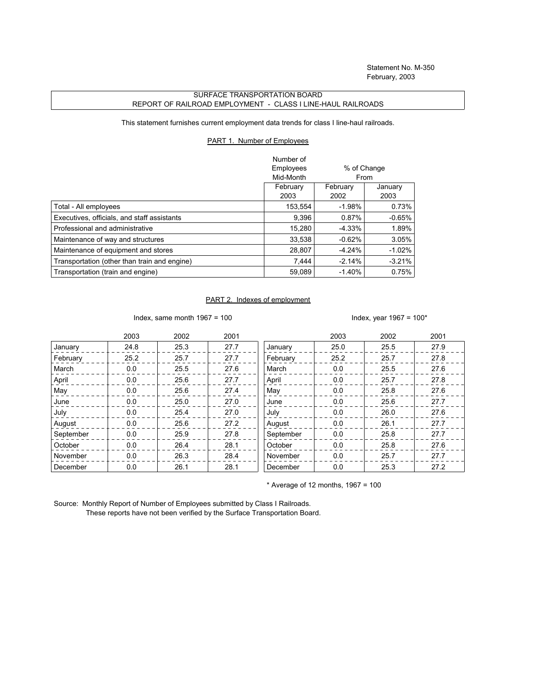## SURFACE TRANSPORTATION BOARD REPORT OF RAILROAD EMPLOYMENT - CLASS I LINE-HAUL RAILROADS

This statement furnishes current employment data trends for class I line-haul railroads.

## PART 1. Number of Employees

|                                              | Number of<br>Employees<br>% of Change<br>Mid-Month<br>From |                  |                 |
|----------------------------------------------|------------------------------------------------------------|------------------|-----------------|
|                                              | February<br>2003                                           | February<br>2002 | January<br>2003 |
| Total - All employees                        | 153,554                                                    | $-1.98%$         | 0.73%           |
| Executives, officials, and staff assistants  | 9,396                                                      | 0.87%            | $-0.65%$        |
| Professional and administrative              | 15.280                                                     | -4.33%           | 1.89%           |
| Maintenance of way and structures            | 33.538                                                     | $-0.62%$         | 3.05%           |
| Maintenance of equipment and stores          | 28.807                                                     | $-4.24%$         | $-1.02\%$       |
| Transportation (other than train and engine) | 7,444                                                      | $-2.14%$         | $-3.21%$        |
| Transportation (train and engine)            | 59.089                                                     | $-1.40%$         | 0.75%           |

## PART 2. Indexes of employment

Index, same month  $1967 = 100$  Index, year  $1967 = 100*$ 

|           | 2003 | 2002 | 2001 |           | 2003 | 2002 | 2001 |
|-----------|------|------|------|-----------|------|------|------|
| January   | 24.8 | 25.3 | 27.7 | January   | 25.0 | 25.5 | 27.9 |
| February  | 25.2 | 25.7 | 27.7 | February  | 25.2 | 25.7 | 27.8 |
| March     | 0.0  | 25.5 | 27.6 | March     | 0.0  | 25.5 | 27.6 |
| April     | 0.0  | 25.6 | 27.7 | April     | 0.0  | 25.7 | 27.8 |
| May       | 0.0  | 25.6 | 27.4 | May       | 0.0  | 25.8 | 27.6 |
| June      | 0.0  | 25.0 | 27.0 | June      | 0.0  | 25.6 | 27.7 |
| July      | 0.0  | 25.4 | 27.0 | July      | 0.0  | 26.0 | 27.6 |
| August    | 0.0  | 25.6 | 27.2 | August    | 0.0  | 26.1 | 27.7 |
| September | 0.0  | 25.9 | 27.8 | September | 0.0  | 25.8 | 27.7 |
| October   | 0.0  | 26.4 | 28.1 | October   | 0.0  | 25.8 | 27.6 |
| November  | 0.0  | 26.3 | 28.4 | November  | 0.0  | 25.7 | 27.7 |
| December  | 0.0  | 26.1 | 28.1 | December  | 0.0  | 25.3 | 27.2 |

 $*$  Average of 12 months, 1967 = 100

Source: Monthly Report of Number of Employees submitted by Class I Railroads. These reports have not been verified by the Surface Transportation Board.